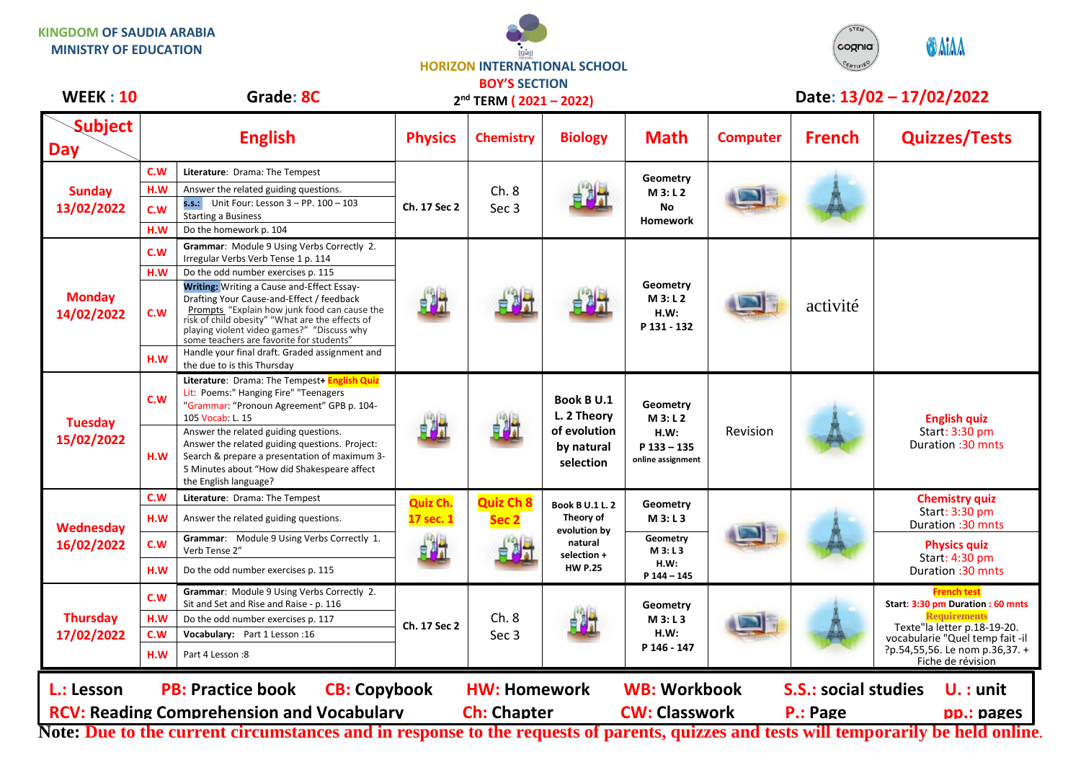## **KINGDOM OF SAUDIA ARABIA MINISTRY OF EDUCATION**





## **WEEK : 10 Grade: 8C Date: 13/02 – 17/02/2022**

| WEEK:IU                                                                                                                                                   |     | Grade: 8C                                                                                                                                                                                                                                                                                   |                                           | $2nd$ TERM ( $2021 - 2022$ )         |                                                                                                 |                                                                    | Date: 13/02 - 17/02/2022 |               |                                                                |
|-----------------------------------------------------------------------------------------------------------------------------------------------------------|-----|---------------------------------------------------------------------------------------------------------------------------------------------------------------------------------------------------------------------------------------------------------------------------------------------|-------------------------------------------|--------------------------------------|-------------------------------------------------------------------------------------------------|--------------------------------------------------------------------|--------------------------|---------------|----------------------------------------------------------------|
| <b>Subject</b><br><b>Day</b>                                                                                                                              |     | <b>English</b>                                                                                                                                                                                                                                                                              | <b>Physics</b>                            | <b>Chemistry</b>                     | <b>Biology</b>                                                                                  | <b>Math</b>                                                        | <b>Computer</b>          | <b>French</b> | <b>Quizzes/Tests</b>                                           |
| <b>Sunday</b><br>13/02/2022                                                                                                                               | c.w | Literature: Drama: The Tempest                                                                                                                                                                                                                                                              | Ch. 17 Sec 2                              | Ch.8<br>Sec 3                        |                                                                                                 | Geometry<br>M 3: L 2<br><b>No</b><br><b>Homework</b>               |                          |               |                                                                |
|                                                                                                                                                           | H.W | Answer the related guiding questions.                                                                                                                                                                                                                                                       |                                           |                                      |                                                                                                 |                                                                    |                          |               |                                                                |
|                                                                                                                                                           | C.W | <b>s.s.:</b> Unit Four: Lesson $3 - PP$ . $100 - 103$<br><b>Starting a Business</b>                                                                                                                                                                                                         |                                           |                                      |                                                                                                 |                                                                    |                          |               |                                                                |
|                                                                                                                                                           | H.W | Do the homework p. 104                                                                                                                                                                                                                                                                      |                                           |                                      |                                                                                                 |                                                                    |                          |               |                                                                |
| <b>Monday</b><br>14/02/2022                                                                                                                               | c.w | Grammar: Module 9 Using Verbs Correctly 2.<br>Irregular Verbs Verb Tense 1 p. 114                                                                                                                                                                                                           | 电相                                        |                                      |                                                                                                 | Geometry<br>M3: L2<br>H.W:<br>P 131 - 132                          |                          | activité      |                                                                |
|                                                                                                                                                           | H.W | Do the odd number exercises p. 115                                                                                                                                                                                                                                                          |                                           |                                      |                                                                                                 |                                                                    |                          |               |                                                                |
|                                                                                                                                                           | C.W | <b>Writing: Writing a Cause and-Effect Essay-</b><br>Drafting Your Cause-and-Effect / feedback<br>Prompts "Explain how junk food can cause the<br>risk of child obesity" "What are the effects of<br>playing violent video games?" "Discuss why<br>some teachers are favorite for students" |                                           |                                      |                                                                                                 |                                                                    |                          |               |                                                                |
|                                                                                                                                                           | H.W | Handle your final draft. Graded assignment and<br>the due to is this Thursday                                                                                                                                                                                                               |                                           |                                      |                                                                                                 |                                                                    |                          |               |                                                                |
| <b>Tuesday</b><br>15/02/2022                                                                                                                              | C.W | Literature: Drama: The Tempest+ English Quiz<br>Lit: Poems:" Hanging Fire" "Teenagers<br>"Grammar: "Pronoun Agreement" GPB p. 104-<br>105 Vocab: L. 15                                                                                                                                      | 电射光                                       |                                      | <b>Book B U.1</b><br>L. 2 Theory<br>of evolution<br>by natural<br>selection                     | Geometry<br>M 3: L 2<br>H.W:<br>$P$ 133 - 135<br>online assignment | Revision                 |               | <b>English quiz</b><br>Start: 3:30 pm<br>Duration: 30 mnts     |
|                                                                                                                                                           | H.W | Answer the related guiding questions.<br>Answer the related guiding questions. Project:<br>Search & prepare a presentation of maximum 3-<br>5 Minutes about "How did Shakespeare affect<br>the English language?                                                                            |                                           |                                      |                                                                                                 |                                                                    |                          |               |                                                                |
| Wednesday<br>16/02/2022                                                                                                                                   | C.W | Literature: Drama: The Tempest                                                                                                                                                                                                                                                              | Quiz Ch.<br>17 sec. 1<br>H <sup>a</sup> h | <b>Quiz Ch 8</b><br>Sec <sub>2</sub> | <b>Book B U.1 L. 2</b><br>Theory of<br>evolution by<br>natural<br>selection +<br><b>HW P.25</b> | Geometry                                                           |                          |               | <b>Chemistry quiz</b>                                          |
|                                                                                                                                                           | H.W | Answer the related guiding questions.                                                                                                                                                                                                                                                       |                                           |                                      |                                                                                                 | M 3: L 3                                                           |                          |               | Start: 3:30 pm<br>Duration :30 mnts                            |
|                                                                                                                                                           | C.W | Grammar: Module 9 Using Verbs Correctly 1.<br>Verb Tense 2"                                                                                                                                                                                                                                 |                                           |                                      |                                                                                                 | Geometry<br>M3: L3                                                 |                          |               | <b>Physics quiz</b><br>Start: 4:30 pm                          |
|                                                                                                                                                           | H.W | Do the odd number exercises p. 115                                                                                                                                                                                                                                                          |                                           |                                      |                                                                                                 | H.W:<br>P 144 - 145                                                |                          |               | Duration: 30 mnts                                              |
|                                                                                                                                                           | c.w | Grammar: Module 9 Using Verbs Correctly 2.<br>Sit and Set and Rise and Raise - p. 116                                                                                                                                                                                                       | Ch. 17 Sec 2                              | Ch.8<br>Sec 3                        |                                                                                                 | Geometry<br>M 3: L 3<br>H.W:<br>P 146 - 147                        |                          |               | <b>French test</b><br>Start: 3:30 pm Duration: 60 mnts         |
| <b>Thursday</b><br>17/02/2022                                                                                                                             | H.W | Do the odd number exercises p. 117                                                                                                                                                                                                                                                          |                                           |                                      |                                                                                                 |                                                                    |                          |               | <b>Requirements</b>                                            |
|                                                                                                                                                           | C.W | Vocabulary: Part 1 Lesson: 16                                                                                                                                                                                                                                                               |                                           |                                      |                                                                                                 |                                                                    |                          |               | Texte"la letter p.18-19-20.<br>vocabularie "Quel temp fait -il |
|                                                                                                                                                           | H.W | Part 4 Lesson: 8                                                                                                                                                                                                                                                                            |                                           |                                      |                                                                                                 |                                                                    |                          |               | ?p.54,55,56. Le nom p.36,37. +<br>Fiche de révision            |
| <b>CB: Copybook</b><br><b>WB: Workbook</b><br><b>S.S.: social studies</b><br><b>PB: Practice book</b><br><b>HW: Homework</b><br>L.: Lesson<br>$U.$ : unit |     |                                                                                                                                                                                                                                                                                             |                                           |                                      |                                                                                                 |                                                                    |                          |               |                                                                |
| <b>RCV: Reading Comprehension and Vocabulary</b><br><b>Ch: Chapter</b><br><b>CW: Classwork</b><br>P.: Page                                                |     |                                                                                                                                                                                                                                                                                             |                                           |                                      |                                                                                                 |                                                                    |                          |               | pp.: pages                                                     |
| Note: Due to the current circumstances and in response to the requests of parents, quizzes and tests will temporarily be held online                      |     |                                                                                                                                                                                                                                                                                             |                                           |                                      |                                                                                                 |                                                                    |                          |               |                                                                |